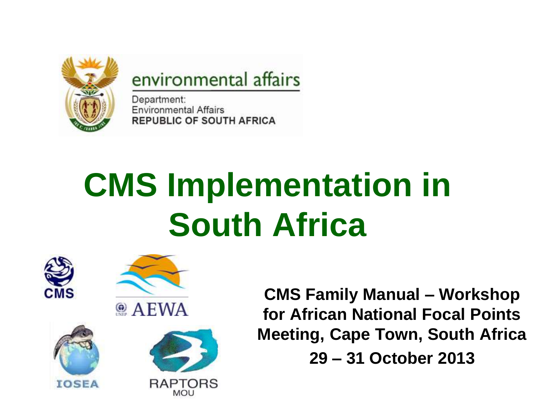

#### environmental affairs

Department: **Environmental Affairs REPUBLIC OF SOUTH AFRICA** 

### **CMS Implementation in South Africa**









**CMS Family Manual – Workshop for African National Focal Points Meeting, Cape Town, South Africa 29 – 31 October 2013**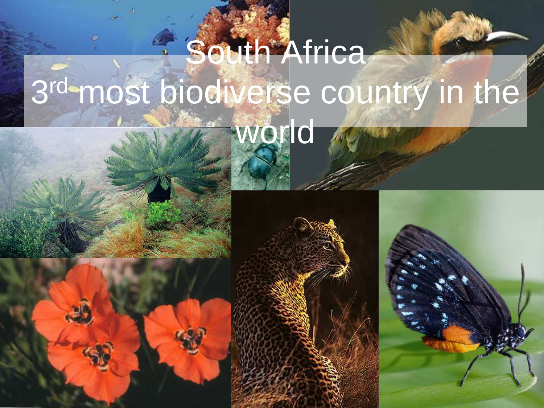#### **South Africa** 3rd-most biodiverse country in the world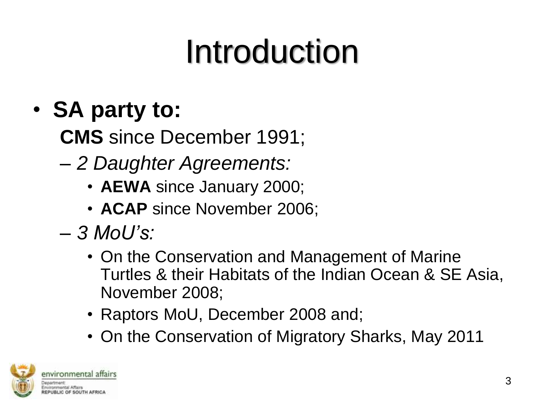#### Introduction

#### • **SA party to:**

**CMS** since December 1991;

- *2 Daughter Agreements:*
	- **AEWA** since January 2000;
	- **ACAP** since November 2006;
- *3 MoU's:*
	- On the Conservation and Management of Marine Turtles & their Habitats of the Indian Ocean & SE Asia, November 2008;
	- Raptors MoU, December 2008 and;
	- On the Conservation of Migratory Sharks, May 2011

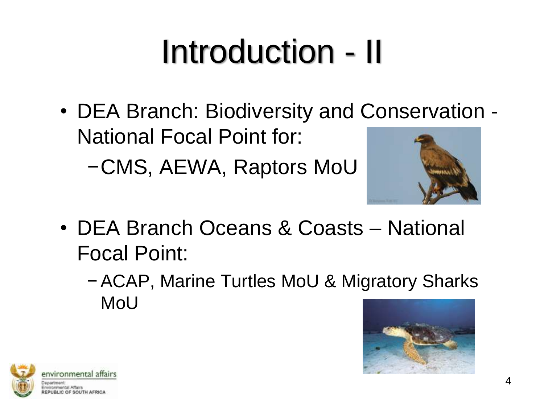# Introduction - II

• DEA Branch: Biodiversity and Conservation - National Focal Point for:

−CMS, AEWA, Raptors MoU



- DEA Branch Oceans & Coasts National Focal Point:
	- −ACAP, Marine Turtles MoU & Migratory Sharks MoU



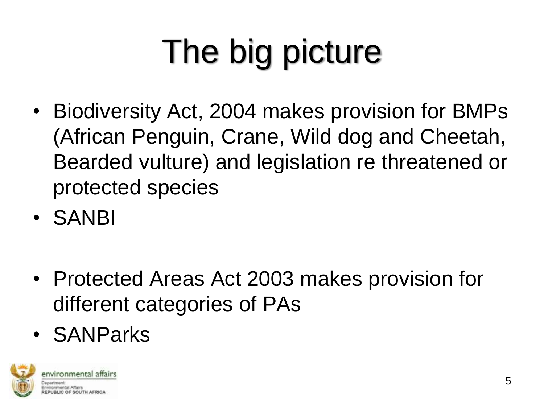# The big picture

- Biodiversity Act, 2004 makes provision for BMPs (African Penguin, Crane, Wild dog and Cheetah, Bearded vulture) and legislation re threatened or protected species
- SANBI
- Protected Areas Act 2003 makes provision for different categories of PAs
- SANParks

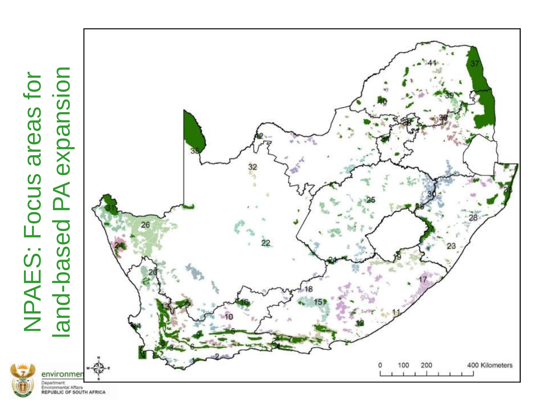

# **PA expansion** -based PA expansionNPAES: Focus areas for NPAES: Focus areas for land-based



Department:<br>Environmental Affairs<br>REPUBLIC OF SOUTH AFRICA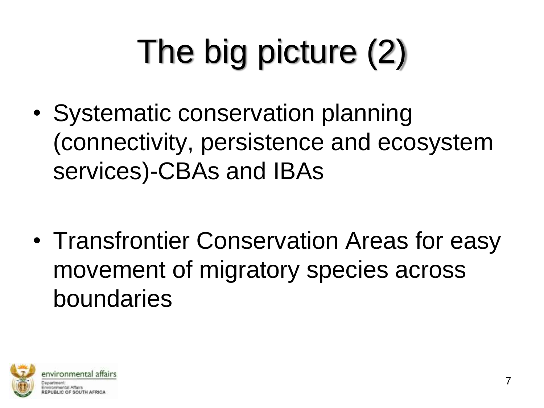# The big picture (2)

• Systematic conservation planning (connectivity, persistence and ecosystem services)-CBAs and IBAs

• Transfrontier Conservation Areas for easy movement of migratory species across boundaries

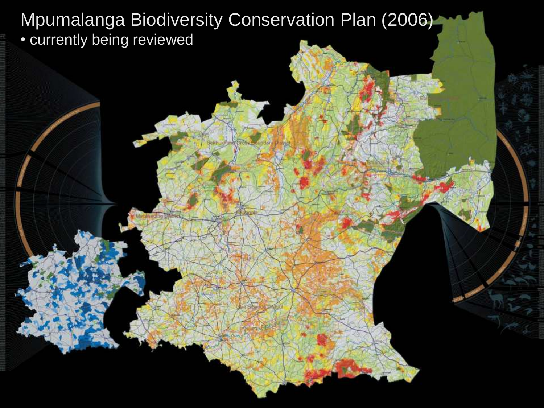Mpumalanga Biodiversity Conservation Plan (2006) • currently being reviewed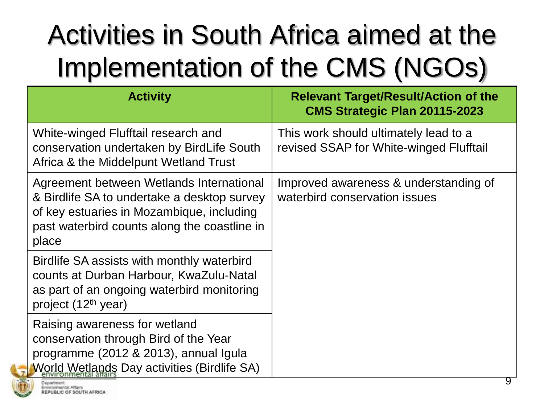#### Activities in South Africa aimed at the Implementation of the CMS (NGOs)

| <b>Activity</b>                                                                                                                                                                               | <b>Relevant Target/Result/Action of the</b><br><b>CMS Strategic Plan 20115-2023</b> |
|-----------------------------------------------------------------------------------------------------------------------------------------------------------------------------------------------|-------------------------------------------------------------------------------------|
| White-winged Flufftail research and<br>conservation undertaken by BirdLife South<br>Africa & the Middelpunt Wetland Trust                                                                     | This work should ultimately lead to a<br>revised SSAP for White-winged Flufftail    |
| Agreement between Wetlands International<br>& Birdlife SA to undertake a desktop survey<br>of key estuaries in Mozambique, including<br>past waterbird counts along the coastline in<br>place | Improved awareness & understanding of<br>waterbird conservation issues              |
| Birdlife SA assists with monthly waterbird<br>counts at Durban Harbour, KwaZulu-Natal<br>as part of an ongoing waterbird monitoring<br>project (12 <sup>th</sup> year)                        |                                                                                     |
| Raising awareness for wetland<br>conservation through Bird of the Year<br>programme (2012 & 2013), annual Igula<br><b>World Wetlands Day activities (Birdlife SA)</b>                         |                                                                                     |

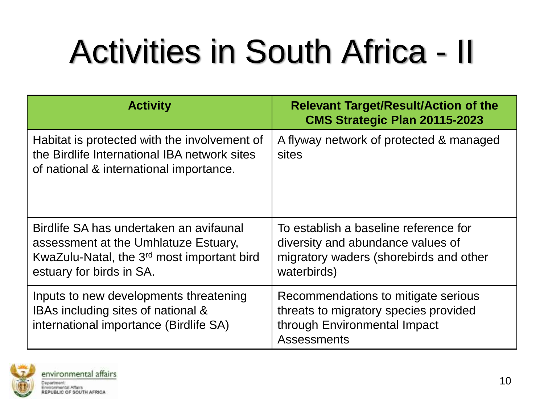## Activities in South Africa - II

| <b>Activity</b>                                                                                                                                                       | <b>Relevant Target/Result/Action of the</b><br><b>CMS Strategic Plan 20115-2023</b>                                                 |
|-----------------------------------------------------------------------------------------------------------------------------------------------------------------------|-------------------------------------------------------------------------------------------------------------------------------------|
| Habitat is protected with the involvement of<br>the Birdlife International IBA network sites<br>of national & international importance.                               | A flyway network of protected & managed<br>sites                                                                                    |
| Birdlife SA has undertaken an avifaunal<br>assessment at the Umhlatuze Estuary,<br>KwaZulu-Natal, the 3 <sup>rd</sup> most important bird<br>estuary for birds in SA. | To establish a baseline reference for<br>diversity and abundance values of<br>migratory waders (shorebirds and other<br>waterbirds) |
| Inputs to new developments threatening<br>IBAs including sites of national &<br>international importance (Birdlife SA)                                                | Recommendations to mitigate serious<br>threats to migratory species provided<br>through Environmental Impact<br><b>Assessments</b>  |

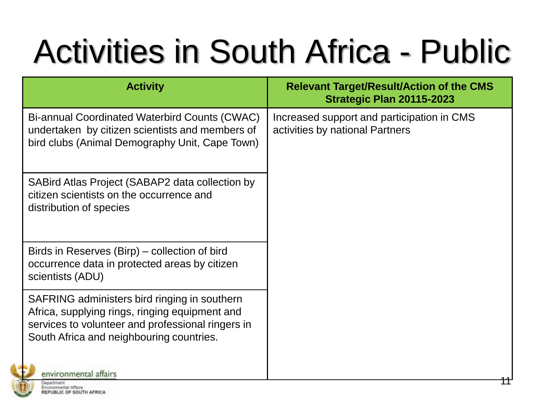#### Activities in South Africa - Public

| <b>Activity</b>                                                                                                                                                                                 | <b>Relevant Target/Result/Action of the CMS</b><br>Strategic Plan 20115-2023  |
|-------------------------------------------------------------------------------------------------------------------------------------------------------------------------------------------------|-------------------------------------------------------------------------------|
| Bi-annual Coordinated Waterbird Counts (CWAC)<br>undertaken by citizen scientists and members of<br>bird clubs (Animal Demography Unit, Cape Town)                                              | Increased support and participation in CMS<br>activities by national Partners |
| SABird Atlas Project (SABAP2 data collection by<br>citizen scientists on the occurrence and<br>distribution of species                                                                          |                                                                               |
| Birds in Reserves (Birp) – collection of bird<br>occurrence data in protected areas by citizen<br>scientists (ADU)                                                                              |                                                                               |
| SAFRING administers bird ringing in southern<br>Africa, supplying rings, ringing equipment and<br>services to volunteer and professional ringers in<br>South Africa and neighbouring countries. |                                                                               |
| environmental affairs                                                                                                                                                                           |                                                                               |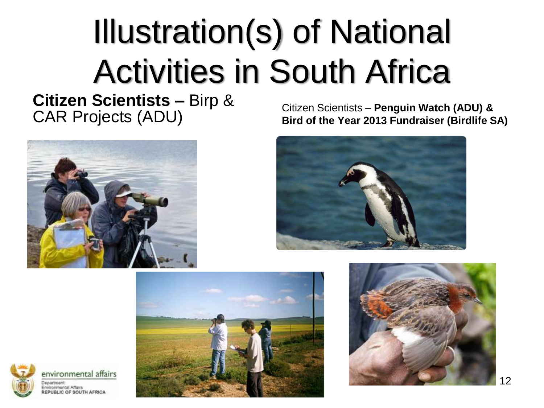#### Illustration(s) of National Activities in South Africa

**Citizen Scientists –** Birp &

CAR Projects (ADU) Citizen Scientists – **Penguin Watch (ADU) & Bird of the Year 2013 Fundraiser (Birdlife SA)**







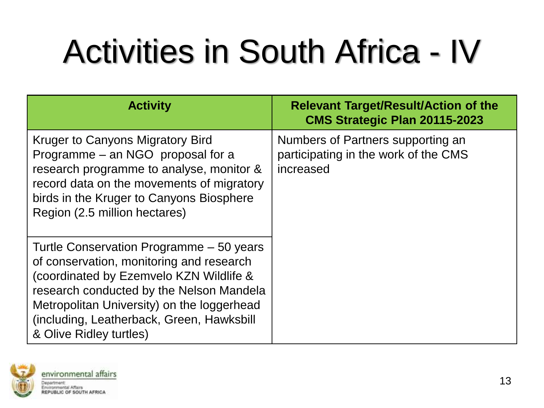### Activities in South Africa - IV

| <b>Activity</b>                                                                                                                                                                                                                                                                                   | <b>Relevant Target/Result/Action of the</b><br><b>CMS Strategic Plan 20115-2023</b>    |
|---------------------------------------------------------------------------------------------------------------------------------------------------------------------------------------------------------------------------------------------------------------------------------------------------|----------------------------------------------------------------------------------------|
| Kruger to Canyons Migratory Bird<br>Programme – an NGO proposal for a<br>research programme to analyse, monitor &<br>record data on the movements of migratory<br>birds in the Kruger to Canyons Biosphere<br>Region (2.5 million hectares)                                                       | Numbers of Partners supporting an<br>participating in the work of the CMS<br>increased |
| Turtle Conservation Programme - 50 years<br>of conservation, monitoring and research<br>(coordinated by Ezemvelo KZN Wildlife &<br>research conducted by the Nelson Mandela<br>Metropolitan University) on the loggerhead<br>(including, Leatherback, Green, Hawksbill<br>& Olive Ridley turtles) |                                                                                        |

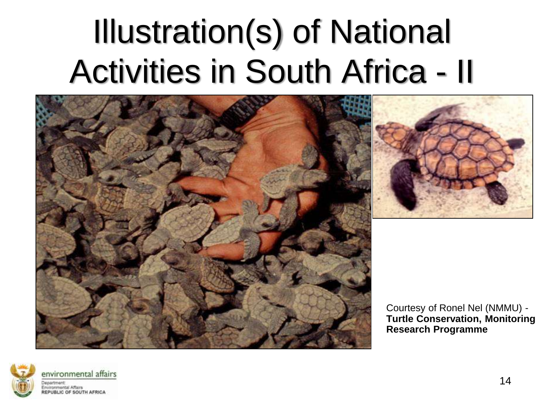#### Illustration(s) of National Activities in South Africa - II





Courtesy of Ronel Nel (NMMU) - **Turtle Conservation, Monitoring & Research Programme**

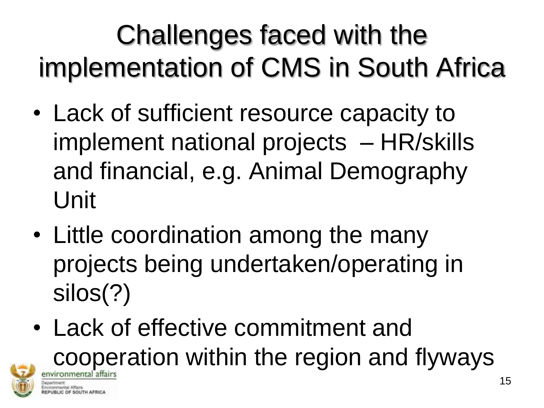#### Challenges faced with the implementation of CMS in South Africa

- Lack of sufficient resource capacity to implement national projects – HR/skills and financial, e.g. Animal Demography Unit
- Little coordination among the many projects being undertaken/operating in silos(?)
- Lack of effective commitment and cooperation within the region and flyways ivironmental affairs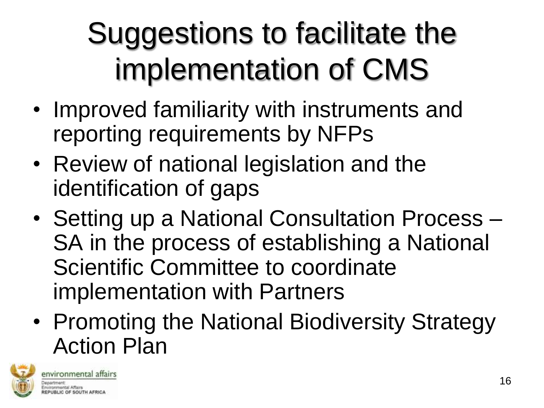#### Suggestions to facilitate the implementation of CMS

- Improved familiarity with instruments and reporting requirements by NFPs
- Review of national legislation and the identification of gaps
- Setting up a National Consultation Process SA in the process of establishing a National Scientific Committee to coordinate implementation with Partners
- Promoting the National Biodiversity Strategy Action Plan

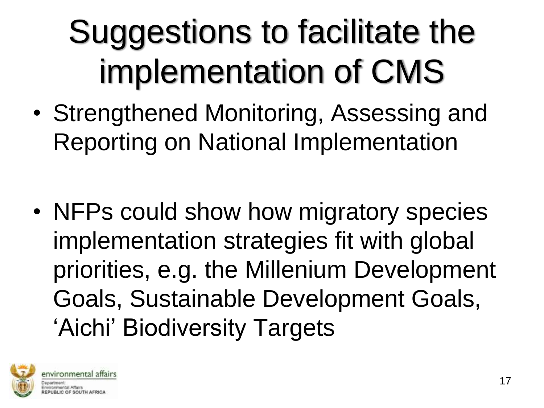#### Suggestions to facilitate the implementation of CMS

- Strengthened Monitoring, Assessing and Reporting on National Implementation
- NFPs could show how migratory species implementation strategies fit with global priorities, e.g. the Millenium Development Goals, Sustainable Development Goals, 'Aichi' Biodiversity Targets

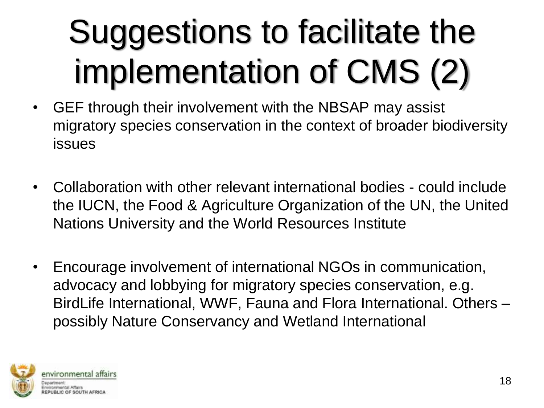# Suggestions to facilitate the implementation of CMS (2)

- GEF through their involvement with the NBSAP may assist migratory species conservation in the context of broader biodiversity issues
- Collaboration with other relevant international bodies could include the IUCN, the Food & Agriculture Organization of the UN, the United Nations University and the World Resources Institute
- Encourage involvement of international NGOs in communication, advocacy and lobbying for migratory species conservation, e.g. BirdLife International, WWF, Fauna and Flora International. Others – possibly Nature Conservancy and Wetland International

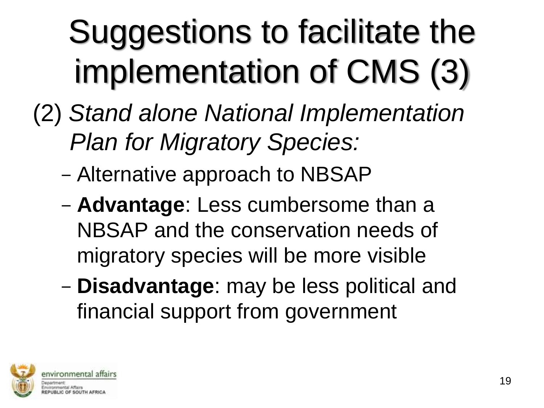# Suggestions to facilitate the implementation of CMS (3)

- (2) *Stand alone National Implementation Plan for Migratory Species:*
	- Alternative approach to NBSAP
	- **Advantage**: Less cumbersome than a NBSAP and the conservation needs of migratory species will be more visible
	- **Disadvantage**: may be less political and financial support from government